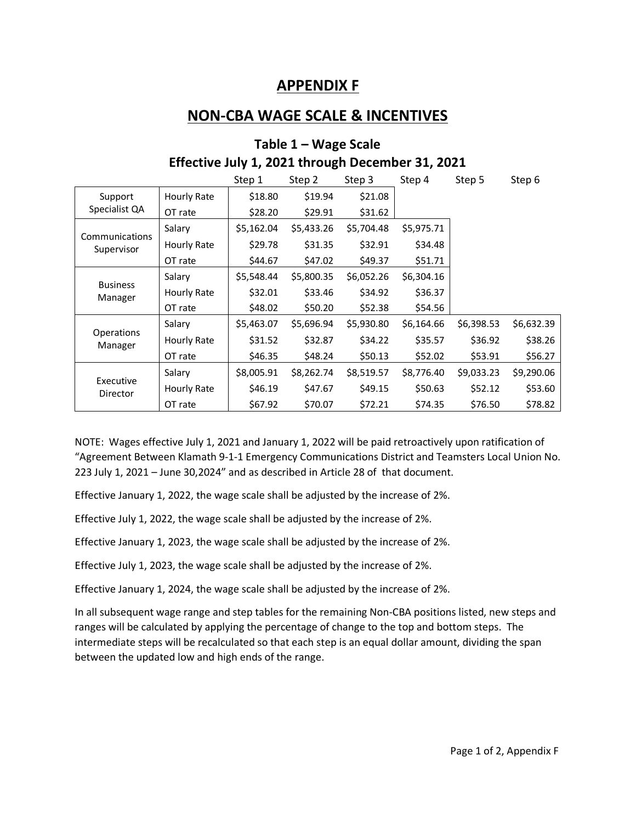### **APPENDIX F**

## **NON-CBA WAGE SCALE & INCENTIVES**

| Effective July 1, 2021 through December 31, 2021 |             |            |            |            |            |            |            |  |  |  |  |
|--------------------------------------------------|-------------|------------|------------|------------|------------|------------|------------|--|--|--|--|
|                                                  |             | Step 1     | Step 2     | Step 3     | Step 4     | Step 5     | Step 6     |  |  |  |  |
| Support<br>Specialist QA                         | Hourly Rate | \$18.80    | \$19.94    | \$21.08    |            |            |            |  |  |  |  |
|                                                  | OT rate     | \$28.20    | \$29.91    | \$31.62    |            |            |            |  |  |  |  |
| Communications<br>Supervisor                     | Salary      | \$5,162.04 | \$5,433.26 | \$5,704.48 | \$5,975.71 |            |            |  |  |  |  |
|                                                  | Hourly Rate | \$29.78    | \$31.35    | \$32.91    | \$34.48    |            |            |  |  |  |  |
|                                                  | OT rate     | \$44.67    | \$47.02    | \$49.37    | \$51.71    |            |            |  |  |  |  |
| <b>Business</b><br>Manager                       | Salary      | \$5,548.44 | \$5,800.35 | \$6,052.26 | \$6,304.16 |            |            |  |  |  |  |
|                                                  | Hourly Rate | \$32.01    | \$33.46    | \$34.92    | \$36.37    |            |            |  |  |  |  |
|                                                  | OT rate     | \$48.02    | \$50.20    | \$52.38    | \$54.56    |            |            |  |  |  |  |
| <b>Operations</b><br>Manager                     | Salary      | \$5,463.07 | \$5,696.94 | \$5,930.80 | \$6,164.66 | \$6,398.53 | \$6,632.39 |  |  |  |  |
|                                                  | Hourly Rate | \$31.52    | \$32.87    | \$34.22    | \$35.57    | \$36.92    | \$38.26    |  |  |  |  |
|                                                  | OT rate     | \$46.35    | \$48.24    | \$50.13    | \$52.02    | \$53.91    | \$56.27    |  |  |  |  |

# **Table 1 – Wage Scale**

NOTE: Wages effective July 1, 2021 and January 1, 2022 will be paid retroactively upon ratification of "Agreement Between Klamath 9-1-1 Emergency Communications District and Teamsters Local Union No. 223 July 1, 2021 – June 30,2024" and as described in Article 28 of that document.

Salary \$8,005.91 \$8,262.74 \$8,519.57 \$8,776.40 \$9,033.23 \$9,290.06 Hourly Rate | \$46.19 \$47.67 \$49.15 \$50.63 \$52.12 \$53.60 OT rate \$67.92 \$70.07 \$72.21 \$74.35 \$76.50 \$78.82

Effective January 1, 2022, the wage scale shall be adjusted by the increase of 2%.

Effective July 1, 2022, the wage scale shall be adjusted by the increase of 2%.

Executive Director

Effective January 1, 2023, the wage scale shall be adjusted by the increase of 2%.

Effective July 1, 2023, the wage scale shall be adjusted by the increase of 2%.

Effective January 1, 2024, the wage scale shall be adjusted by the increase of 2%.

In all subsequent wage range and step tables for the remaining Non-CBA positions listed, new steps and ranges will be calculated by applying the percentage of change to the top and bottom steps. The intermediate steps will be recalculated so that each step is an equal dollar amount, dividing the span between the updated low and high ends of the range.